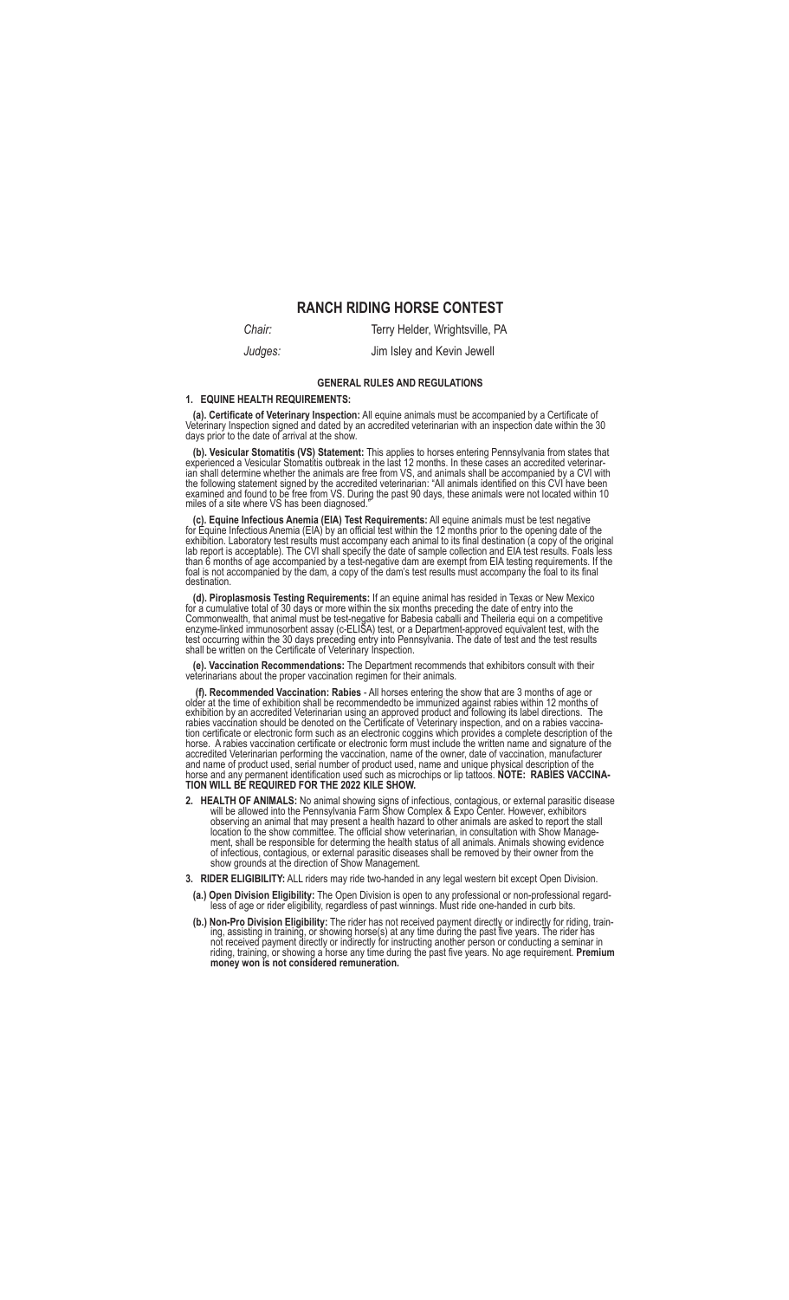# **RANCH RIDING HORSE CONTEST**

**Chair:** Terry Helder, Wrightsville, PA *Judges:* Jim Isley and Kevin Jewell

### **GENERAL RULES AND REGULATIONS**

#### **1. EQUINE HEALTH REQUIREMENTS:**

 **(a). Certificate of Veterinary Inspection:** All equine animals must be accompanied by a Certificate of Veterinary Inspection signed and dated by an accredited veterinarian with an inspection date within the 30 days prior to the date of arrival at the show.

(b). Vesicular Stomatitis (VS) Statement: This applies to horses entering Pennsylvania from states that experienced a Vesicular Stomatitis outbreak in the last 12 months. In these cases an accredited veterinarian shall det the following statement signed by the accredited veterinarian: "All animals identified on this CVI have been examined and found to be free from VS. During the past 90 days, these animals were not located within 10 miles of a site where VS has been diagnosed."

 **(c). Equine Infectious Anemia (EIA) Test Requirements:** All equine animals must be test negative for Equine Infectious Anemia (EIA) by an official test within the 12 months prior to the opening date of the exhibition. Laboratory test results must accompany each animal to its final destination (a copy of the original lab report is acceptable). The CVI shall specify the date of sample collection and EIA test results. Foals less than 6 months of age accompanied by a test-negative dam are exempt from EIA testing requirements. If the<br>foal is not accompanied by the dam, a copy of the dam's test results must accompany the foal to its final destination.

 **(d). Piroplasmosis Testing Requirements:** If an equine animal has resided in Texas or New Mexico for a cumulative total of 30 days or more within the six months preceding the date of entry into the Commonwealth, that animal must be test-negative for Babesia caballi and Theileria equi on a competitive enzyme-linked immunosorbent assay (c-ELIŠA) test, or a Department-approved equivalent test, with the<br>test occurring within the 30 days preceding entry into Pennsylvania. The date of test and the test results<br>shall be writt

 **(e). Vaccination Recommendations:** The Department recommends that exhibitors consult with their veterinarians about the proper vaccination regimen for their animals.

 **(f). Recommended Vaccination: Rabies** - All horses entering the show that are 3 months of age or older at the time of exhibition shall be recommendedto be immunized against rabies within 12 months of exhibition by an accredited Veterinarian using an approved product and following its label directions. The rabies vaccination should be denoted on the Certificate of Veterinary inspection, and on a rabies vaccina-<br>tion certificate or electronic form such as an electronic coggins which provides a complete description of the horse. A rabies vaccination certificate or electronic form must include the written name and signature of the accredited Veterinarian performing the vaccination, name of the owner, date of vaccination, manufacturer and name of product used, serial number of product used, name and unique physical description of the<br>horse and any permanent identification used such as microchips or lip tattoos. **NOTE: RABIES VACCINA-**<br>TI**ON WILL BE REQU** 

**2. HEALTH OF ANIMALS:** No animal showing signs of infectious, contagious, or external parasitic disease will be allowed into the Pennsylvania Farm Show Complex & Expo Center. However, exhibitors observing an animal that may present a health hazard to other animals are asked to report the stall location to the show committee. The official show veterinarian, in consultation with Show Manage ment, shall be responsible for determing the health status of all animals. Animals showing evidence<br>of infectious, contagious, or external parasitic diseases shall be removed by their owner from the show grounds at the direction of Show Management.

**3. RIDER ELIGIBILITY:** ALL riders may ride two-handed in any legal western bit except Open Division.

- **(a.) Open Division Eligibility:** The Open Division is open to any professional or non-professional regard- less of age or rider eligibility, regardless of past winnings. Must ride one-handed in curb bits.
- (b.) Non-Pro Division Eligibility: The rider has not received payment directly or indirectly for riding, train-<br>ing, assisting in training, or showing horse(s) at any time during the past five years. The rider has not received payment directly or indirectly for instructing another person or conducting a seminar in<br>riding, training, or showing a horse any time during the past five years. No age requirement. **Premium**<br>**money won is no**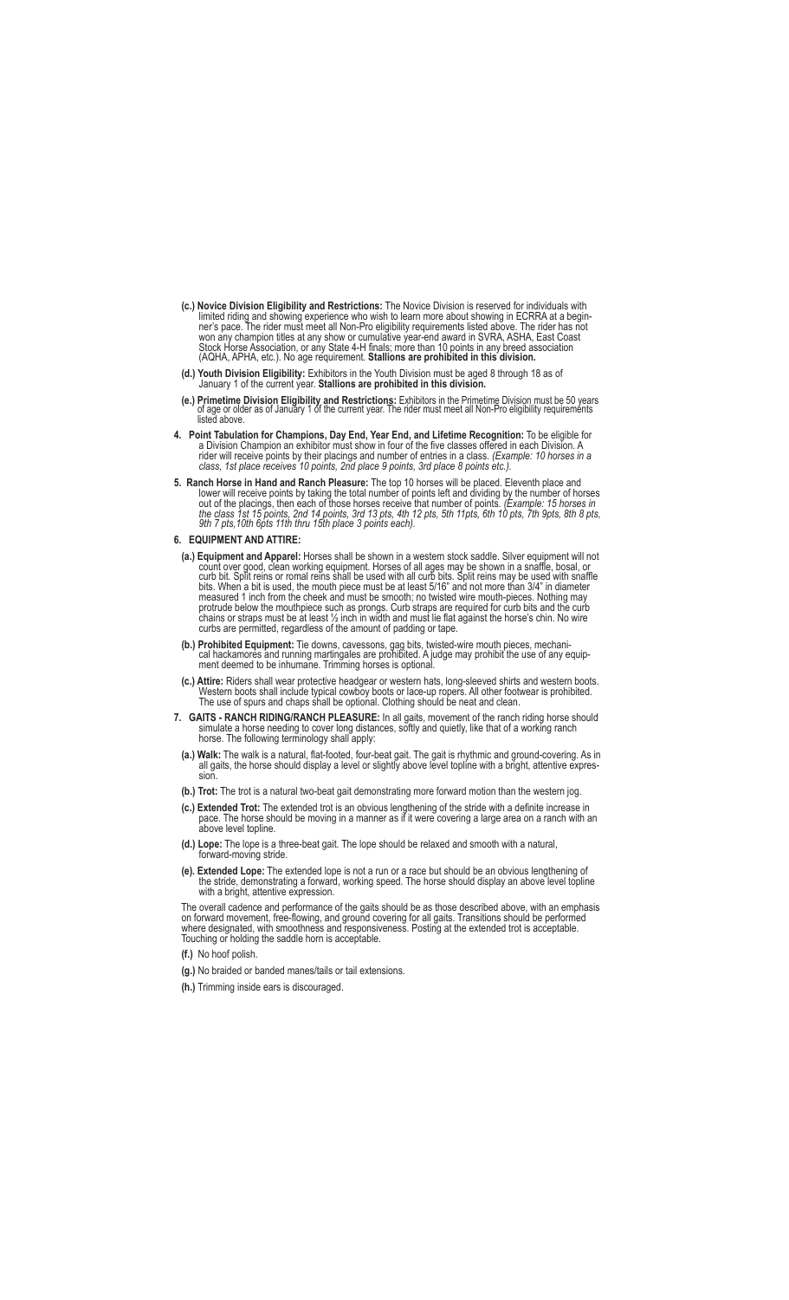- **(c.) Novice Division Eligibility and Restrictions:** The Novice Division is reserved for individuals with limited riding and showing experience who wish to learn more about showing in ECRRA at a begin ner's pace. The rider must meet all Non-Pro eligibility requirements listed above. The rider has not won any champion titles at any show or cumulative year-end award in SVRA, ASHA, East Coast Stock Horse Association, or any State 4-H finals; more than 10 points in any breed association (AQHA, APHA, etc.). No age requirement. **Stallions are prohibited in this division.**
- **(d.) Youth Division Eligibility:** Exhibitors in the Youth Division must be aged 8 through 18 as of January 1 of the current year. **Stallions are prohibited in this division.**
- e.) Primetime Division Eligibility and Restrictions: Exhibitors in the Primetime Division must be 50 years)<br>of age or older as of January 1 of the current year. The rider must meet all Non-Pro eligibility requirements listed above.
- **4. Point Tabulation for Champions, Day End, Year End, and Lifetime Recognition:** To be eligible for a Division Champion an exhibitor must show in four of the five classes offered in each Division. A rider will receive points by their placings and number of entries in a class. *(Example: 10 horses in a class, 1st place receives 10 points, 2nd place 9 points, 3rd place 8 points etc.).*
- **5.****Ranch Horse in Hand and Ranch Pleasure:** The top 10 horses will be placed. Eleventh place and lower will receive points by taking the total number of points left and dividing by the number of horses out of the placings, then each of those horses receive that number of points. *(Example: 15 horses in the class 1st 15 points, 2nd 14 points, 3rd 13 pts, 4th 12 pts, 5th 11pts, 6th 10 pts, 7th 9pts, 8th 8 pts, 9th 7 pts,10th 6pts 11th thru 15th place 3 points each).*
- **6. EQUIPMENT AND ATTIRE:**
- **(a.) Equipment and Apparel:** Horses shall be shown in a western stock saddle. Silver equipment will not count over good, clean working equipment. Horses of all ages may be shown in a snaffle, bosal, or curb bit. Split reins or romal reins shall be used with all curb bits. Split reins may be used with snaffle bits. When a bit is used, the mouth piece must be at least 5/16" and not more than 3/4" in diameter measured 1 inch from the cheek and must be smooth; no twisted wire mouth-pieces. Nothing may protrude below the mouthpiece such as prongs. Curb straps are required for curb bits and the curb chains or straps must be at least ½ inch in width and must lie flat against the horse's chin. No wire curbs are permitted, regardless of the amount of padding or tape.
- **(b.) Prohibited Equipment:** Tie downs, cavessons, gag bits, twisted-wire mouth pieces, mechani cal hackamores and running martingales are prohibited. A judge may prohibit the use of any equip ment deemed to be inhumane. Trimming horses is optional.
- **(c.) Attire:** Riders shall wear protective headgear or western hats, long-sleeved shirts and western boots. Western boots shall include typical cowboy boots or lace-up ropers. All other footwear is prohibited. The use of spurs and chaps shall be optional. Clothing should be neat and clean.
- 7. **GAITS RANCH RIDING/RANCH PLEASURE:** In all gaits, movement of the ranch riding horse should simulate a horse needing to cover long distances, softly and quietly, like that of a working ranch horse. The following term
- **(a.) Walk:** The walk is a natural, flat-footed, four-beat gait. The gait is rhythmic and ground-covering. As in all gaits, the horse should display a level or slightly above level topline with a bright, attentive expression.
- **(b.) Trot:** The trot is a natural two-beat gait demonstrating more forward motion than the western jog.
- **(c.) Extended Trot:** The extended trot is an obvious lengthening of the stride with a definite increase in pace. The horse should be moving in a manner as if it were covering a large area on a ranch with an above level topline.
- **(d.) Lope:** The lope is a three-beat gait. The lope should be relaxed and smooth with a natural, forward-moving stride.
- **(e). Extended Lope:** The extended lope is not a run or a race but should be an obvious lengthening of the stride, demonstrating a forward, working speed. The horse should display an above level topline with a bright, attentive expression.

 The overall cadence and performance of the gaits should be as those described above, with an emphasis on forward movement, free-flowing, and ground covering for all gaits. Transitions should be performed where designated, with smoothness and responsiveness. Posting at the extended trot is acceptable. Touching or holding the saddle horn is acceptable.

- **(f.)** No hoof polish.
- **(g.)** No braided or banded manes/tails or tail extensions.
- **(h.)** Trimming inside ears is discouraged.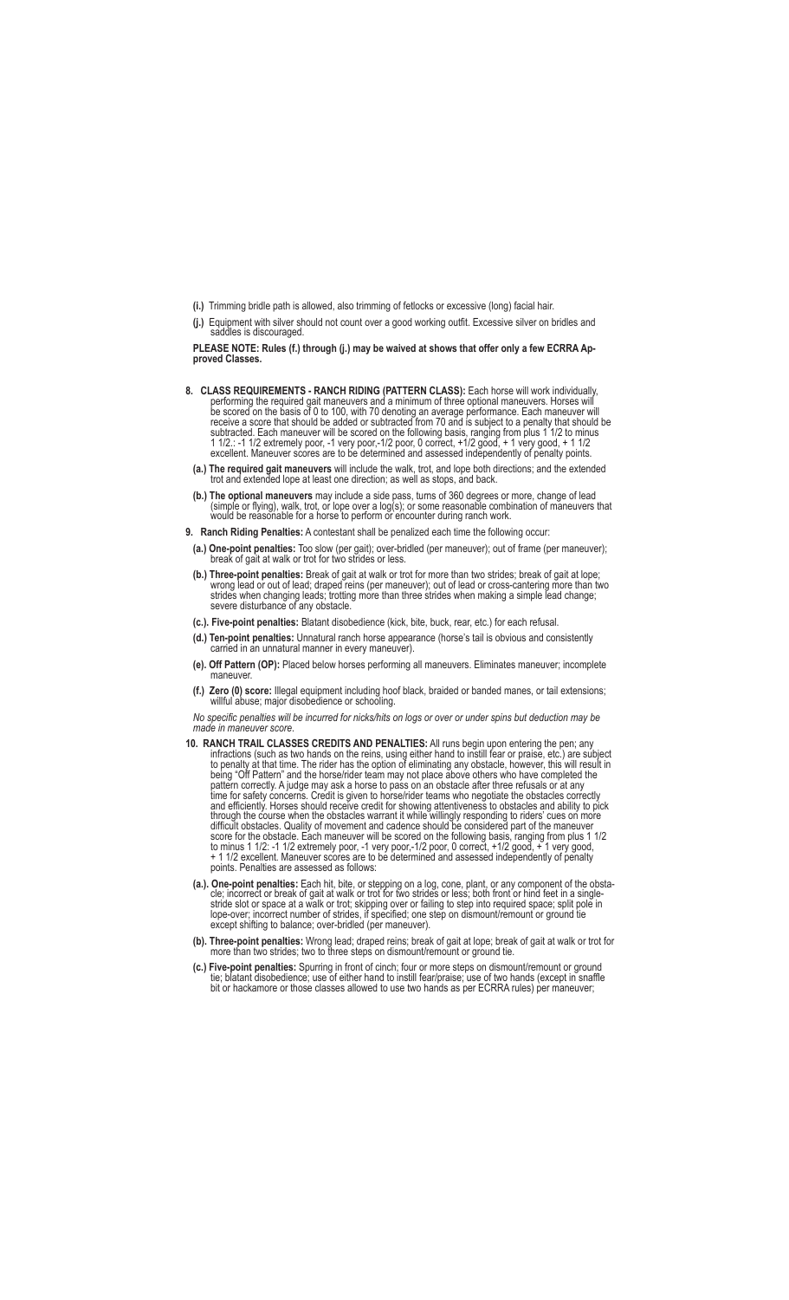- **(i.)** Trimming bridle path is allowed, also trimming of fetlocks or excessive (long) facial hair.
- **(j.)** Equipment with silver should not count over a good working outfit. Excessive silver on bridles and addles is discouraged.

 **PLEASE NOTE: Rules (f.) through (j.) may be waived at shows that offer only a few ECRRA Ap proved Classes.**

- **8. CLASS REQUIREMENTS RANCH RIDING (PATTERN CLASS):** Each horse will work individually, performing the required gait maneuvers and a minimum of three optional maneuvers. Horses will be scored on the basis of 0 to 100, with 70 denoting an average performance. Each maneuver will receive a score that should be added or subtracted from 70 and is subject to a penalty that should be subtracted. Each maneuver will be scored on the following basis, ranging from plus 1 1/2 to minus 1 1/2.: -1 1/2 extremely poor, -1 very poor,-1/2 poor, 0 correct, +1/2 good, + 1 very good, + 1 1/2 excellent. Maneuver scores are to be determined and assessed independently of penalty points.
- **(a.) The required gait maneuvers** will include the walk, trot, and lope both directions; and the extended trot and extended lope at least one direction; as well as stops, and back.
- **(b.) The optional maneuvers** may include a side pass, turns of 360 degrees or more, change of lead (simple or flying), walk, trot, or lope over a log(s); or some reasonable combination of maneuvers that would be reasonable for a horse to perform or encounter during ranch work.
- **9. Ranch Riding Penalties:** A contestant shall be penalized each time the following occur:
- **(a.) One-point penalties:** Too slow (per gait); over-bridled (per maneuver); out of frame (per maneuver); break of gait at walk or trot for two strides or less.
- **(b.) Three-point penalties:** Break of gait at walk or trot for more than two strides; break of gait at lope; wrong lead or out of lead; draped reins (per maneuver); out of lead or cross-cantering more than two strides when changing leads; trotting more than three strides when making a simple lead change; severe disturbance of any obstacle.
- **(c.). Five-point penalties:** Blatant disobedience (kick, bite, buck, rear, etc.) for each refusal.
- **(d.) Ten-point penalties:** Unnatural ranch horse appearance (horse's tail is obvious and consistently carried in an unnatural manner in every maneuver).
- **(e). Off Pattern (OP):** Placed below horses performing all maneuvers. Eliminates maneuver; incomplete maneuver.
- **(f.) Zero (0) score:** Illegal equipment including hoof black, braided or banded manes, or tail extensions; willful abuse; major disobedience or schooling.

 *No specific penalties will be incurred for nicks/hits on logs or over or under spins but deduction may be made in maneuver score*.

- **10. RANCH TRAIL CLASSES CREDITS AND PENALTIES:** All runs begin upon entering the pen; any infractions (such as two hands on the reins, using either hand to instill fear or praise, etc.) are subject to penalty at that time. The rider has the option of eliminating any obstacle, however, this will result in being "Off Pattern" and the horse/rider team may not place above others who have completed the pattern correctly. A judge may ask a horse to pass on an obstacle after three refusals or at any time for safety concerns. Credit is given to horse/rider teams who negotiate the obstacles correctly and efficiently. Horses should receive credit for showing attentiveness to obstacles and ability to pick through the course when the obstacles warrant it while willingly responding to riders' cues on more difficult obstacles. Quality of movement and cadence should be considered part of the maneuver score for the obstacle. Each maneuver will be scored on the following basis, ranging from plus 1 1/2 to minus 1 1/2: -1 1/2 extremely poor, -1 very poor,-1/2 poor, 0 correct, +1/2 good, + 1 very good, + 1 1/2 excellent. Maneuver scores are to be determined and assessed independently of penalty points. Penalties are assessed as follows:
- (a.). One-point penalties: Each hit, bite, or stepping on a log, cone, plant, or any component of the obsta-<br>cle; incorrect or break of gait at walk or trot for two strides or less; both front or hind feet in a single stride slot or space at a walk or trot; skipping over or failing to step into required space; split pole in lope-over; incorrect number of strides, if specified; one step on dismount/remount or ground tie except shifting to balance; over-bridled (per maneuver).
- **(b). Three-point penalties:** Wrong lead; draped reins; break of gait at lope; break of gait at walk or trot for more than two strides; two to three steps on dismount/remount or ground tie.
- **(c.) Five-point penalties:** Spurring in front of cinch; four or more steps on dismount/remount or ground tie; blatant disobedience; use of either hand to instill fear/praise; use of two hands (except in snaffle bit or hackamore or those classes allowed to use two hands as per ECRRA rules) per maneuver;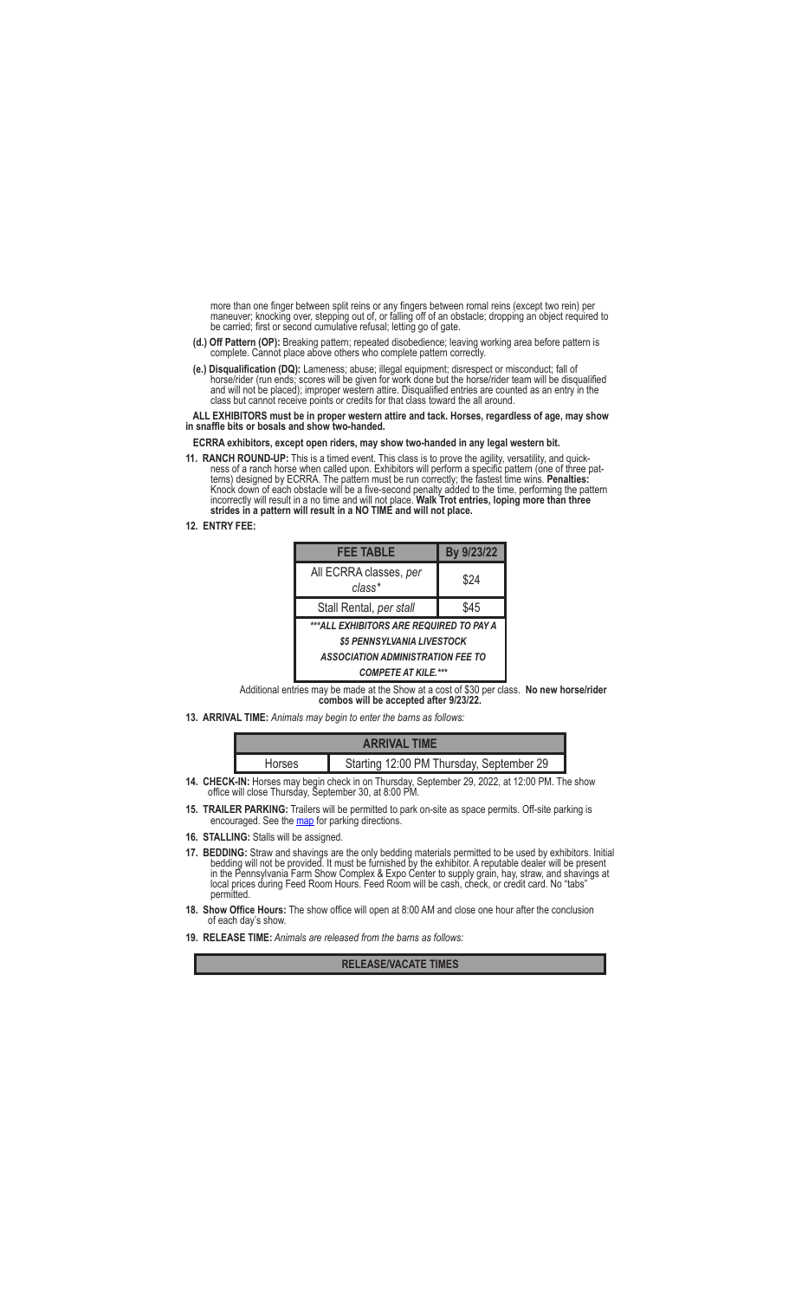more than one finger between split reins or any fingers between romal reins (except two rein) per maneuver; knocking over, stepping out of, or falling off of an obstacle; dropping an object required to be carried; first or second cumulative refusal; letting go of gate.

- **(d.) Off Pattern (OP):** Breaking pattern; repeated disobedience; leaving working area before pattern is complete. Cannot place above others who complete pattern correctly.
- **(e.) Disqualification (DQ):** Lameness; abuse; illegal equipment; disrespect or misconduct; fall of horse/rider (run ends; scores will be given for work done but the horse/rider team will be disqualified and will not be placed); improper western attire. Disqualified entries are counted as an entry in the class but cannot receive points or credits for that class toward the all around.

 **ALL EXHIBITORS must be in proper western attire and tack. Horses, regardless of age, may show in snaffle bits or bosals and show two-handed.**

 **ECRRA exhibitors, except open riders, may show two-handed in any legal western bit.**

**11. RANCH ROUND-UP:** This is a timed event. This class is to prove the agility, versatility, and quick- ness of a ranch horse when called upon. Exhibitors will perform a specific pattern (one of three pat terns) designed by ECRRA. The pattern must be run correctly; the fastest time wins. **Penalties:** Knock down of each obstacle will be a five-second penalty added to the time, performing the pattern<br>incorrectly will result in a no time and will not place. **Walk Trot entries, loping more than three**<br>**strides in a pattern** 

**12. ENTRY FEE:**

| <b>FEE TABLE</b>                         | By 9/23/22 |  |
|------------------------------------------|------------|--|
| All ECRRA classes, per<br>$class*$       | \$24       |  |
| Stall Rental, per stall                  | \$45       |  |
| ***ALL EXHIBITORS ARE REQUIRED TO PAY A  |            |  |
| \$5 PENNSYLVANIA LIVESTOCK               |            |  |
| <b>ASSOCIATION ADMINISTRATION FEE TO</b> |            |  |
| <b>COMPETE AT KILE.***</b>               |            |  |

Additional entries may be made at the Show at a cost of \$30 per class. **No new horse/rider combos will be accepted after 9/23/22.**

**13. ARRIVAL TIME:** *Animals may begin to enter the barns as follows:*

| <b>ARRIVAL TIME</b>                                                                                |                                          |  |
|----------------------------------------------------------------------------------------------------|------------------------------------------|--|
| <b>Horses</b>                                                                                      | Starting 12:00 PM Thursday, September 29 |  |
| $20K$ IN <sub>1</sub> Heresa may begin aboal; in an Thuroday, Cantamber 20, 2022, at 12:00 DM, The |                                          |  |

- **14. CHECK-IN:** Horses may begin check in on Thursday, September 29, 2022, at 12:00 PM. The show office will close Thursday, September 30, at 8:00 PM.
- **15. TRAILER PARKING:** Trailers will be permitted to park on-site as space permits. Off-site parking is encouraged. See the **map** for parking directions.
- **16. STALLING:** Stalls will be assigned.
- **17. BEDDING:** Straw and shavings are the only bedding materials permitted to be used by exhibitors. Initial bedding will not be provided. It must be furnished by the exhibitor. A reputable dealer will be present in the Pennsylvania Farm Show Complex & Expo Center to supply grain, hay, straw, and shavings at local prices during Feed Room Hours. Feed Room will be cash, check, or credit card. No "tabs" permitted.
- **18. Show Office Hours:** The show office will open at 8:00 AM and close one hour after the conclusion of each day's show.
- **19. RELEASE TIME:** *Animals are released from the barns as follows:*

**RELEASE/VACATE TIMES**